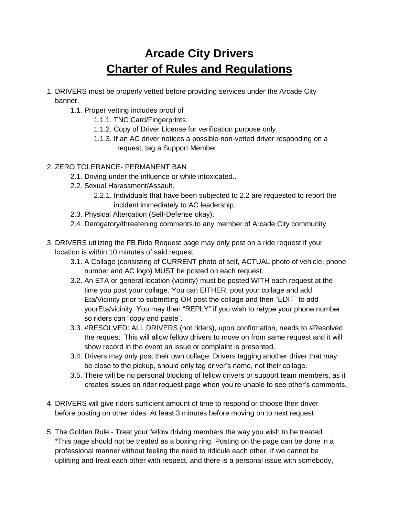## **Arcade City Drivers Charter of Rules and Regulations**

- 1. DRIVERS must be properly vetted before providing services under the Arcade City banner.
	- 1.1. Proper vetting includes proof of
		- 1.1.1. TNC Card/Fingerprints.
		- 1.1.2. Copy of Driver License for verification purpose only.
		- 1.1.3. If an AC driver notices a possible non-vetted driver responding on a request, tag a Support Member
- 2. ZERO TOLERANCE- PERMANENT BAN
	- 2.1. Driving under the influence or while intoxicated..
	- 2.2. Sexual Harassment/Assault.
		- 2.2.1. Individuals that have been subjected to 2.2 are requested to report the incident immediately to AC leadership.
	- 2.3. Physical Altercation (Self-Defense okay).
	- 2.4. Derogatory/threatening comments to any member of Arcade City community.
- 3. DRIVERS utilizing the FB Ride Request page may only post on a ride request if your location is within 10 minutes of said request.
	- 3.1. A Collage (consisting of CURRENT photo of self, ACTUAL photo of vehicle, phone number and AC logo) MUST be posted on each request.
	- 3.2. An ETA or general location (vicinity) must be posted WITH each request at the time you post your collage. You can EITHER, post your collage and add Eta/Vicinity prior to submitting OR post the collage and then "EDIT" to add yourEta/vicinity. You may then "REPLY" if you wish to retype your phone number so riders can "copy and paste".
	- 3.3. #RESOLVED: ALL DRIVERS (not riders), upon confirmation, needs to #Resolved the request. This will allow fellow drivers to move on from same request and it will show record in the event an issue or complaint is presented.
	- 3.4. Drivers may only post their own collage. Drivers tagging another driver that may be close to the pickup, should only tag driver's name, not their collage.
	- 3.5. There will be no personal blocking of fellow drivers or support team members, as it creates issues on rider request page when you're unable to see other's comments.
- 4. DRIVERS will give riders sufficient amount of time to respond or choose their driver before posting on other rides. At least 3 minutes before moving on to next request
- 5. The Golden Rule Treat your fellow driving members the way you wish to be treated. \*This page should not be treated as a boxing ring. Posting on the page can be done in a professional manner without feeling the need to ridicule each other. If we cannot be uplifting and treat each other with respect, and there is a personal issue with somebody,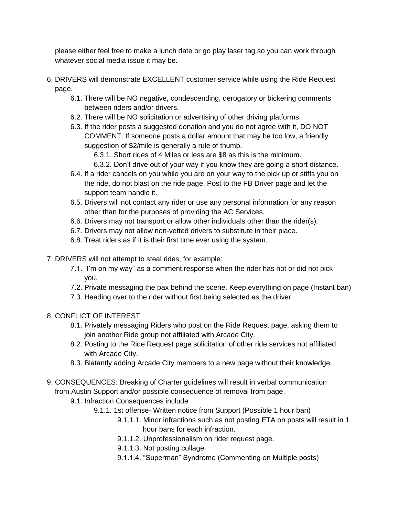please either feel free to make a lunch date or go play laser tag so you can work through whatever social media issue it may be.

- 6. DRIVERS will demonstrate EXCELLENT customer service while using the Ride Request page.
	- 6.1. There will be NO negative, condescending, derogatory or bickering comments between riders and/or drivers.
	- 6.2. There will be NO solicitation or advertising of other driving platforms.
	- 6.3. If the rider posts a suggested donation and you do not agree with it, DO NOT COMMENT. If someone posts a dollar amount that may be too low, a friendly suggestion of \$2/mile is generally a rule of thumb.
		- 6.3.1. Short rides of 4 Miles or less are \$8 as this is the minimum.
		- 6.3.2. Don't drive out of your way if you know they are going a short distance.
	- 6.4. If a rider cancels on you while you are on your way to the pick up or stiffs you on the ride, do not blast on the ride page. Post to the FB Driver page and let the support team handle it.
	- 6.5. Drivers will not contact any rider or use any personal information for any reason other than for the purposes of providing the AC Services.
	- 6.6. Drivers may not transport or allow other individuals other than the rider(s).
	- 6.7. Drivers may not allow non-vetted drivers to substitute in their place.
	- 6.8. Treat riders as if it is their first time ever using the system.
- 7. DRIVERS will not attempt to steal rides, for example:
	- 7.1. "I'm on my way" as a comment response when the rider has not or did not pick you.
	- 7.2. Private messaging the pax behind the scene. Keep everything on page (Instant ban)
	- 7.3. Heading over to the rider without first being selected as the driver.
- 8. CONFLICT OF INTEREST
	- 8.1. Privately messaging Riders who post on the Ride Request page, asking them to join another Ride group not affiliated with Arcade City.
	- 8.2. Posting to the Ride Request page solicitation of other ride services not affiliated with Arcade City.
	- 8.3. Blatantly adding Arcade City members to a new page without their knowledge.
- 9. CONSEQUENCES: Breaking of Charter guidelines will result in verbal communication from Austin Support and/or possible consequence of removal from page.
	- 9.1. Infraction Consequences include
		- 9.1.1. 1st offense- Written notice from Support (Possible 1 hour ban)
			- 9.1.1.1. Minor infractions such as not posting ETA on posts will result in 1 hour bans for each infraction.
			- 9.1.1.2. Unprofessionalism on rider request page.
			- 9.1.1.3. Not posting collage.
			- 9.1.1.4. "Superman" Syndrome (Commenting on Multiple posts)